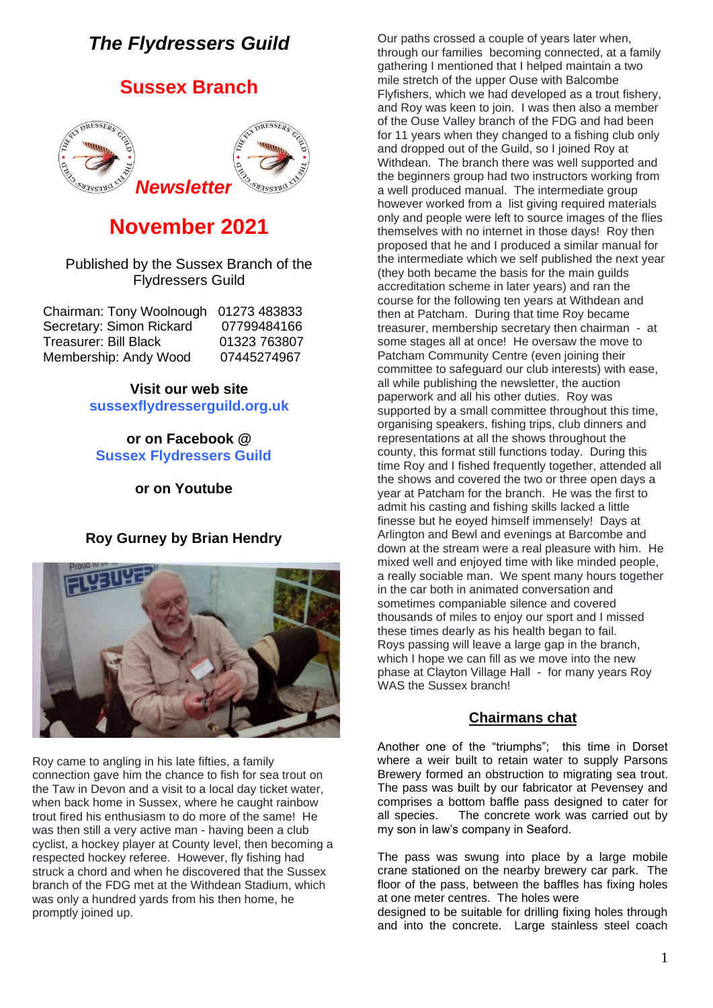# *The Flydressers Guild*

# **Sussex Branch**



# **November 2021**

#### Published by the Sussex Branch of the Flydressers Guild

| Chairman: Tony Woolnough     | 01273 483833 |
|------------------------------|--------------|
| Secretary: Simon Rickard     | 07799484166  |
| <b>Treasurer: Bill Black</b> | 01323 763807 |
| Membership: Andy Wood        | 07445274967  |

**Visit our web site sussexflydresserguild.org.uk**

### **or on Facebook @ Sussex Flydressers Guild**

#### **or on Youtube**

### **Roy Gurney by Brian Hendry**



Roy came to angling in his late fifties, a family connection gave him the chance to fish for sea trout on the Taw in Devon and a visit to a local day ticket water, when back home in Sussex, where he caught rainbow trout fired his enthusiasm to do more of the same! He was then still a very active man - having been a club cyclist, a hockey player at County level, then becoming a respected hockey referee. However, fly fishing had struck a chord and when he discovered that the Sussex branch of the FDG met at the Withdean Stadium, which was only a hundred yards from his then home, he promptly joined up.

Our paths crossed a couple of years later when, through our families becoming connected, at a family gathering I mentioned that I helped maintain a two mile stretch of the upper Ouse with Balcombe Flyfishers, which we had developed as a trout fishery, and Roy was keen to join. I was then also a member of the Ouse Valley branch of the FDG and had been for 11 years when they changed to a fishing club only and dropped out of the Guild, so I joined Roy at Withdean. The branch there was well supported and the beginners group had two instructors working from a well produced manual. The intermediate group however worked from a list giving required materials only and people were left to source images of the flies themselves with no internet in those days! Roy then proposed that he and I produced a similar manual for the intermediate which we self published the next year (they both became the basis for the main guilds accreditation scheme in later years) and ran the course for the following ten years at Withdean and then at Patcham. During that time Roy became treasurer, membership secretary then chairman - at some stages all at once! He oversaw the move to Patcham Community Centre (even joining their committee to safeguard our club interests) with ease, all while publishing the newsletter, the auction paperwork and all his other duties. Roy was supported by a small committee throughout this time, organising speakers, fishing trips, club dinners and representations at all the shows throughout the county, this format still functions today. During this time Roy and I fished frequently together, attended all the shows and covered the two or three open days a year at Patcham for the branch. He was the first to admit his casting and fishing skills lacked a little finesse but he eoyed himself immensely! Days at Arlington and Bewl and evenings at Barcombe and down at the stream were a real pleasure with him. He mixed well and enjoyed time with like minded people, a really sociable man. We spent many hours together in the car both in animated conversation and sometimes companiable silence and covered thousands of miles to enjoy our sport and I missed these times dearly as his health began to fail. Roys passing will leave a large gap in the branch, which I hope we can fill as we move into the new phase at Clayton Village Hall - for many years Roy WAS the Sussex branch!

### **Chairmans chat**

Another one of the "triumphs"; this time in Dorset where a weir built to retain water to supply Parsons Brewery formed an obstruction to migrating sea trout. The pass was built by our fabricator at Pevensey and comprises a bottom baffle pass designed to cater for all species. The concrete work was carried out by my son in law's company in Seaford.

The pass was swung into place by a large mobile crane stationed on the nearby brewery car park. The floor of the pass, between the baffles has fixing holes at one meter centres. The holes were

designed to be suitable for drilling fixing holes through and into the concrete. Large stainless steel coach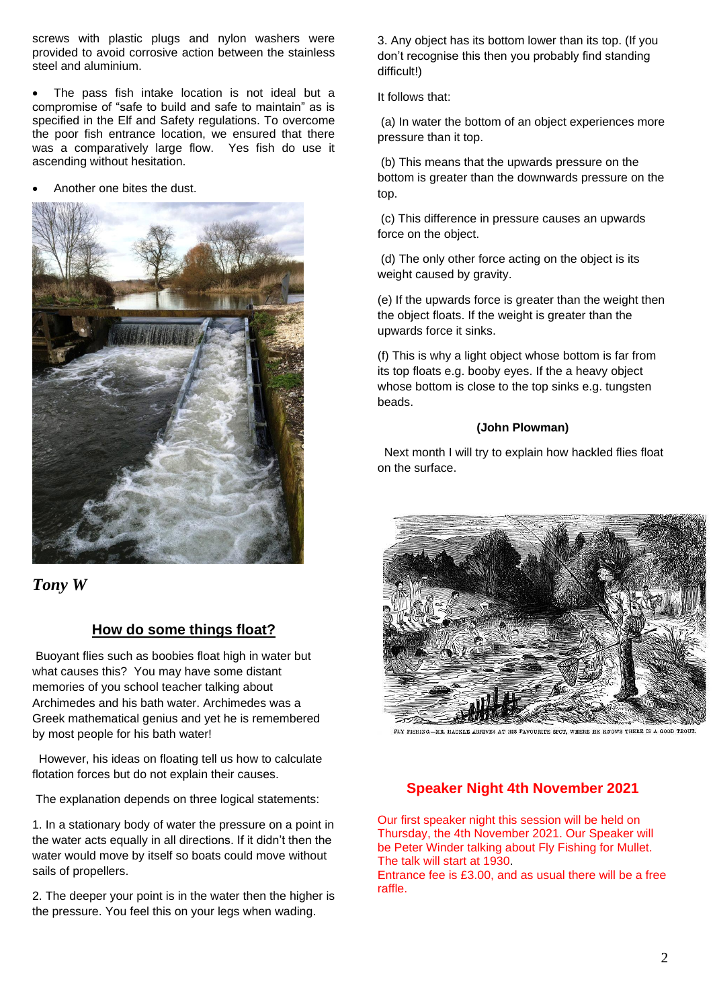screws with plastic plugs and nylon washers were provided to avoid corrosive action between the stainless steel and aluminium.

• The pass fish intake location is not ideal but a compromise of "safe to build and safe to maintain" as is specified in the Elf and Safety regulations. To overcome the poor fish entrance location, we ensured that there was a comparatively large flow. Yes fish do use it ascending without hesitation.

• Another one bites the dust.



*Tony W*

## **How do some things float?**

Buoyant flies such as boobies float high in water but what causes this? You may have some distant memories of you school teacher talking about Archimedes and his bath water. Archimedes was a Greek mathematical genius and yet he is remembered by most people for his bath water!

 However, his ideas on floating tell us how to calculate flotation forces but do not explain their causes.

The explanation depends on three logical statements:

1. In a stationary body of water the pressure on a point in the water acts equally in all directions. If it didn't then the water would move by itself so boats could move without sails of propellers.

2. The deeper your point is in the water then the higher is the pressure. You feel this on your legs when wading.

3. Any object has its bottom lower than its top. (If you don't recognise this then you probably find standing difficult!)

It follows that:

(a) In water the bottom of an object experiences more pressure than it top.

(b) This means that the upwards pressure on the bottom is greater than the downwards pressure on the top.

(c) This difference in pressure causes an upwards force on the object.

(d) The only other force acting on the object is its weight caused by gravity.

(e) If the upwards force is greater than the weight then the object floats. If the weight is greater than the upwards force it sinks.

(f) This is why a light object whose bottom is far from its top floats e.g. booby eyes. If the a heavy object whose bottom is close to the top sinks e.g. tungsten beads.

#### **(John Plowman)**

 Next month I will try to explain how hackled flies float on the surface.



FLY FISHING.-MR. HACKLE ARRIVES AT HIS FAVOURITE SPOT, WHERE HE KNOWS THERE IS A GOOD TROUT

## **Speaker Night 4th November 2021**

Our first speaker night this session will be held on Thursday, the 4th November 2021. Our Speaker will be Peter Winder talking about Fly Fishing for Mullet. The talk will start at 1930.

Entrance fee is £3.00, and as usual there will be a free raffle.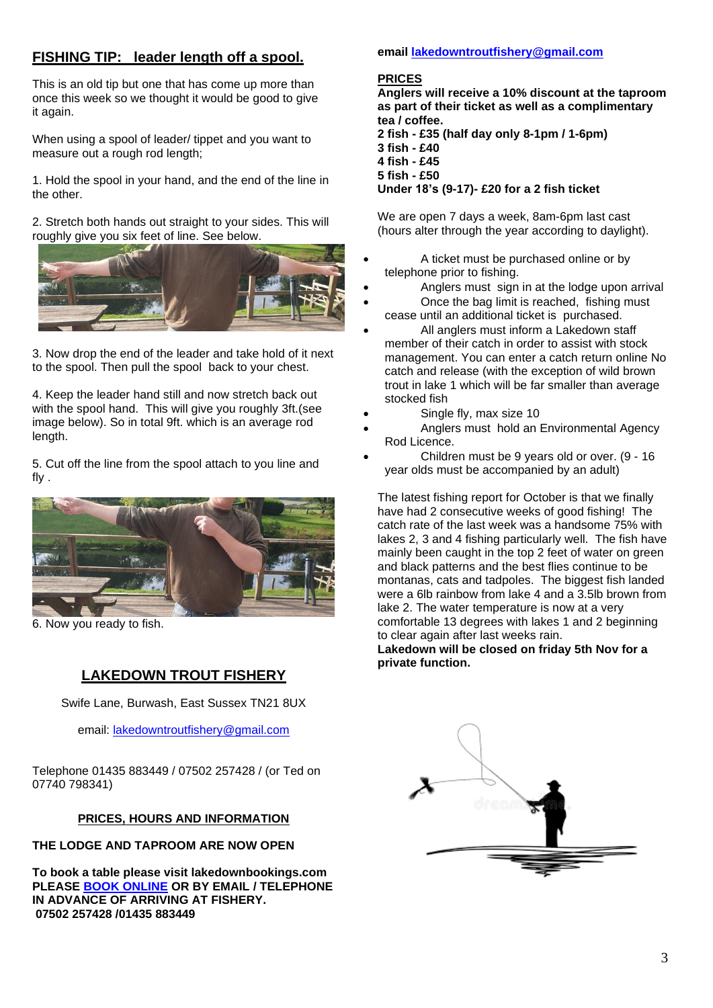## **FISHING TIP: leader length off a spool.**

This is an old tip but one that has come up more than once this week so we thought it would be good to give it again.

When using a spool of leader/ tippet and you want to measure out a rough rod length;

1. Hold the spool in your hand, and the end of the line in the other.

2. Stretch both hands out straight to your sides. This will roughly give you six feet of line. See below.



3. Now drop the end of the leader and take hold of it next to the spool. Then pull the spool back to your chest.

4. Keep the leader hand still and now stretch back out with the spool hand. This will give you roughly 3ft.(see image below). So in total 9ft. which is an average rod length.

5. Cut off the line from the spool attach to you line and fly .



6. Now you ready to fish.

## **LAKEDOWN TROUT FISHERY**

Swife Lane, Burwash, East Sussex TN21 8UX

email: [lakedowntroutfishery@gmail.com](mailto:lakedowntroutfishery@gmail.com)

Telephone 01435 883449 / 07502 257428 / (or Ted on 07740 798341)

#### **PRICES, HOURS AND INFORMATION**

**THE LODGE AND TAPROOM ARE NOW OPEN**

**To book a table please visit lakedownbookings.com PLEASE BOOK [ONLINE](http://fisheryreports.com/OpenSimpleApp/16/T0pZUC9HRWF3MTlVKzdTT1Q5Q0VxbDZuaFg2R21Eck96QjRDMm00Sm9OaWxMeTFjQVRDcnZrZ25ZejB4VHV0ZQ==) OR BY EMAIL / TELEPHONE IN ADVANCE OF ARRIVING AT FISHERY. 07502 257428 /01435 883449**

#### **email [lakedowntroutfishery@gmail.com](mailto:lakedowntroutfishery@gmail.com)**

#### **PRICES**

**Anglers will receive a 10% discount at the taproom as part of their ticket as well as a complimentary tea / coffee. 2 fish - £35 (half day only 8-1pm / 1-6pm) 3 fish - £40 4 fish - £45 5 fish - £50**

**Under 18's (9-17)- £20 for a 2 fish ticket**

We are open 7 days a week, 8am-6pm last cast (hours alter through the year according to daylight).

- A ticket must be purchased online or by telephone prior to fishing.
- Anglers must sign in at the lodge upon arrival
- Once the bag limit is reached, fishing must cease until an additional ticket is purchased.
- All anglers must inform a Lakedown staff member of their catch in order to assist with stock management. You can enter a catch return online No catch and release (with the exception of wild brown trout in lake 1 which will be far smaller than average stocked fish
	- Single fly, max size 10
- Anglers must hold an Environmental Agency Rod Licence.
- Children must be 9 years old or over. (9 16 year olds must be accompanied by an adult)

The latest fishing report for October is that we finally have had 2 consecutive weeks of good fishing! The catch rate of the last week was a handsome 75% with lakes 2, 3 and 4 fishing particularly well. The fish have mainly been caught in the top 2 feet of water on green and black patterns and the best flies continue to be montanas, cats and tadpoles. The biggest fish landed were a 6lb rainbow from lake 4 and a 3.5lb brown from lake 2. The water temperature is now at a very comfortable 13 degrees with lakes 1 and 2 beginning to clear again after last weeks rain.

**Lakedown will be closed on friday 5th Nov for a private function.**